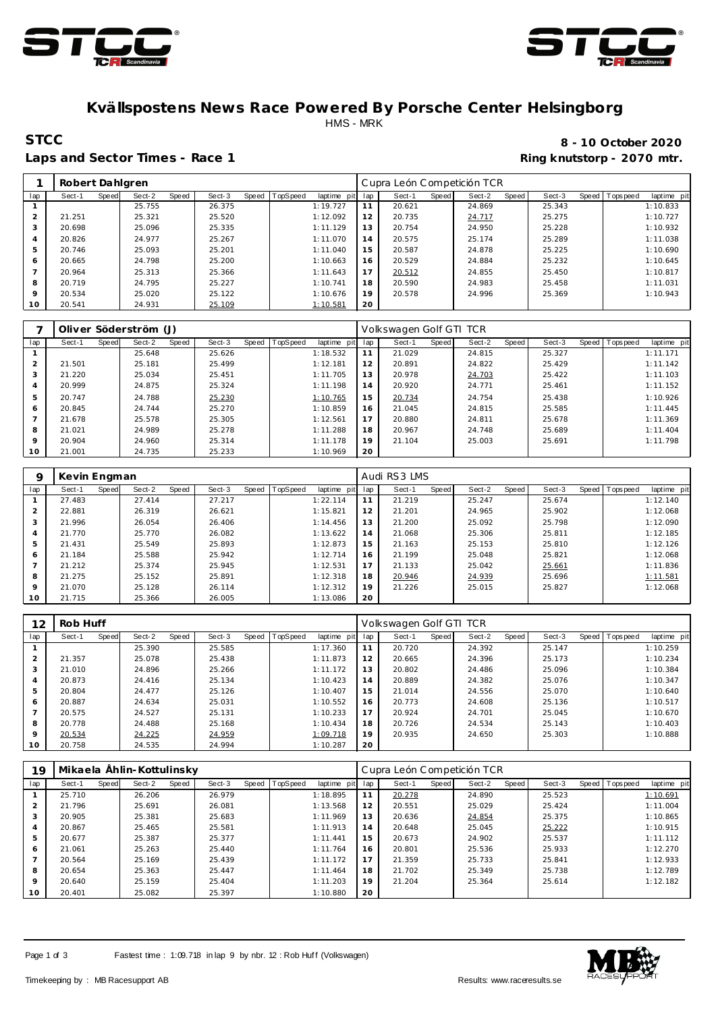



## **Kvällspostens News Race Powered By Porsche Center Helsingborg** HMS - MRK

#### Laps and Sector Times - Race 1 **Ring and Sector Times - Ring knutstorp** - 2070 mtr.

# **STCC 8 - 10 October 2020**

|                | Robert Dahlgren |       |        |       |        |                |             |     | Cupra León Competición TCR |       |        |       |        |                |             |
|----------------|-----------------|-------|--------|-------|--------|----------------|-------------|-----|----------------------------|-------|--------|-------|--------|----------------|-------------|
| lap            | Sect-1          | Speed | Sect-2 | Speed | Sect-3 | Speed TopSpeed | laptime pit | lap | Sect-1                     | Speed | Sect-2 | Speed | Sect-3 | Speed Topspeed | laptime pit |
|                |                 |       | 25.755 |       | 26.375 |                | 1:19.727    | 11  | 20.621                     |       | 24.869 |       | 25.343 |                | 1:10.833    |
| $\mathcal{P}$  | 21.251          |       | 25.321 |       | 25.520 |                | 1:12.092    | 12  | 20.735                     |       | 24.717 |       | 25.275 |                | 1:10.727    |
| 3              | 20.698          |       | 25.096 |       | 25.335 |                | 1:11.129    | 13  | 20.754                     |       | 24.950 |       | 25.228 |                | 1:10.932    |
| $\overline{4}$ | 20.826          |       | 24.977 |       | 25.267 |                | 1:11.070    | 14  | 20.575                     |       | 25.174 |       | 25.289 |                | 1:11.038    |
| 5              | 20.746          |       | 25.093 |       | 25.201 |                | 1:11.040    | 15  | 20.587                     |       | 24.878 |       | 25.225 |                | 1:10.690    |
| 6              | 20.665          |       | 24.798 |       | 25.200 |                | 1:10.663    | 16  | 20.529                     |       | 24.884 |       | 25.232 |                | 1:10.645    |
|                | 20.964          |       | 25.313 |       | 25.366 |                | 1:11.643    | 17  | 20.512                     |       | 24.855 |       | 25.450 |                | 1:10.817    |
| 8              | 20.719          |       | 24.795 |       | 25.227 |                | 1:10.741    | 18  | 20.590                     |       | 24.983 |       | 25.458 |                | 1:11.031    |
| $\circ$        | 20.534          |       | 25.020 |       | 25.122 |                | 1:10.676    | 19  | 20.578                     |       | 24.996 |       | 25.369 |                | 1:10.943    |
| 10             | 20.541          |       | 24.931 |       | 25.109 |                | 1:10.581    | 20  |                            |       |        |       |        |                |             |

|                |        |       | Oliver Söderström (J) |       |        |                |             |     | Volkswagen Golf GTI TCR |       |        |       |        |                   |             |
|----------------|--------|-------|-----------------------|-------|--------|----------------|-------------|-----|-------------------------|-------|--------|-------|--------|-------------------|-------------|
| lap            | Sect-1 | Speed | Sect-2                | Speed | Sect-3 | Speed TopSpeed | laptime pit | lap | Sect-1                  | Speed | Sect-2 | Speed | Sect-3 | Speed   Tops peed | laptime pit |
|                |        |       | 25.648                |       | 25.626 |                | 1:18.532    | 11  | 21.029                  |       | 24.815 |       | 25.327 |                   | 1:11.171    |
| 2              | 21.501 |       | 25.181                |       | 25.499 |                | 1:12.181    | 12  | 20.891                  |       | 24.822 |       | 25.429 |                   | 1:11.142    |
| 3              | 21.220 |       | 25.034                |       | 25.451 |                | 1:11.705    | 13  | 20.978                  |       | 24.703 |       | 25.422 |                   | 1:11.103    |
| 4              | 20.999 |       | 24.875                |       | 25.324 |                | 1:11.198    | 14  | 20.920                  |       | 24.771 |       | 25.461 |                   | 1:11.152    |
| 5              | 20.747 |       | 24.788                |       | 25.230 |                | 1:10.765    | 15  | 20.734                  |       | 24.754 |       | 25.438 |                   | 1:10.926    |
| 6              | 20.845 |       | 24.744                |       | 25.270 |                | 1:10.859    | 16  | 21.045                  |       | 24.815 |       | 25.585 |                   | 1:11.445    |
| $\overline{ }$ | 21.678 |       | 25.578                |       | 25.305 |                | 1:12.561    | 17  | 20.880                  |       | 24.811 |       | 25.678 |                   | 1:11.369    |
| 8              | 21.021 |       | 24.989                |       | 25.278 |                | 1:11.288    | 18  | 20.967                  |       | 24.748 |       | 25.689 |                   | 1:11.404    |
| $\circ$        | 20.904 |       | 24.960                |       | 25.314 |                | 1:11.178    | 19  | 21.104                  |       | 25.003 |       | 25.691 |                   | 1:11.798    |
| 10             | 21.001 |       | 24.735                |       | 25.233 |                | 1:10.969    | 20  |                         |       |        |       |        |                   |             |

| 9              | Kevin Engman |       |        |       |        |       |          |             |     | Audi RS3 LMS |       |        |       |        |                |             |
|----------------|--------------|-------|--------|-------|--------|-------|----------|-------------|-----|--------------|-------|--------|-------|--------|----------------|-------------|
| lap            | Sect-1       | Speed | Sect-2 | Speed | Sect-3 | Speed | TopSpeed | laptime pit | lap | Sect-1       | Speed | Sect-2 | Speed | Sect-3 | Speed Topspeed | laptime pit |
|                | 27.483       |       | 27.414 |       | 27.217 |       |          | 1:22.114    |     | 21.219       |       | 25.247 |       | 25.674 |                | 1:12.140    |
| $\overline{2}$ | 22.881       |       | 26.319 |       | 26.621 |       |          | 1:15.821    | 12  | 21.201       |       | 24.965 |       | 25.902 |                | 1:12.068    |
| 3              | 21.996       |       | 26.054 |       | 26.406 |       |          | 1:14.456    | 13  | 21.200       |       | 25.092 |       | 25.798 |                | 1:12.090    |
| $\overline{4}$ | 21.770       |       | 25.770 |       | 26.082 |       |          | 1:13.622    | 14  | 21.068       |       | 25.306 |       | 25.811 |                | 1:12.185    |
| 5              | 21.431       |       | 25.549 |       | 25.893 |       |          | 1:12.873    | 15  | 21.163       |       | 25.153 |       | 25.810 |                | 1:12.126    |
| 6              | 21.184       |       | 25.588 |       | 25.942 |       |          | 1:12.714    | 16  | 21.199       |       | 25.048 |       | 25.821 |                | 1:12.068    |
|                | 21.212       |       | 25.374 |       | 25.945 |       |          | 1:12.531    | 17  | 21.133       |       | 25.042 |       | 25.661 |                | 1:11.836    |
| 8              | 21.275       |       | 25.152 |       | 25.891 |       |          | 1:12.318    | 18  | 20.946       |       | 24.939 |       | 25.696 |                | 1:11.581    |
| $\circ$        | 21.070       |       | 25.128 |       | 26.114 |       |          | 1:12.312    | 19  | 21.226       |       | 25.015 |       | 25.827 |                | 1:12.068    |
| 10             | 21.715       |       | 25.366 |       | 26.005 |       |          | 1:13.086    | 20  |              |       |        |       |        |                |             |

| 12             | Rob Huff |       |        |       |        |       |                 |             |     | Volkswagen Golf GTI TCR |       |        |       |        |                |             |
|----------------|----------|-------|--------|-------|--------|-------|-----------------|-------------|-----|-------------------------|-------|--------|-------|--------|----------------|-------------|
| lap            | Sect-1   | Speed | Sect-2 | Speed | Sect-3 | Speed | <b>TopSpeed</b> | laptime pit | lap | Sect-1                  | Speed | Sect-2 | Speed | Sect-3 | Speed Topspeed | laptime pit |
|                |          |       | 25.390 |       | 25.585 |       |                 | 1:17.360    | 11  | 20.720                  |       | 24.392 |       | 25.147 |                | 1:10.259    |
| $\overline{2}$ | 21.357   |       | 25.078 |       | 25.438 |       |                 | 1:11.873    | 12  | 20.665                  |       | 24.396 |       | 25.173 |                | 1:10.234    |
| 3              | 21.010   |       | 24.896 |       | 25.266 |       |                 | 1:11.172    | 13  | 20.802                  |       | 24.486 |       | 25.096 |                | 1:10.384    |
| 4              | 20.873   |       | 24.416 |       | 25.134 |       |                 | 1:10.423    | 14  | 20.889                  |       | 24.382 |       | 25.076 |                | 1:10.347    |
| 5              | 20.804   |       | 24.477 |       | 25.126 |       |                 | 1:10.407    | 15  | 21.014                  |       | 24.556 |       | 25.070 |                | 1:10.640    |
| 6              | 20.887   |       | 24.634 |       | 25.031 |       |                 | 1:10.552    | 16  | 20.773                  |       | 24.608 |       | 25.136 |                | 1:10.517    |
|                | 20.575   |       | 24.527 |       | 25.131 |       |                 | 1:10.233    | 17  | 20.924                  |       | 24.701 |       | 25.045 |                | 1:10.670    |
| 8              | 20.778   |       | 24.488 |       | 25.168 |       |                 | 1:10.434    | 18  | 20.726                  |       | 24.534 |       | 25.143 |                | 1:10.403    |
| 9              | 20.534   |       | 24.225 |       | 24.959 |       |                 | 1:09.718    | 19  | 20.935                  |       | 24.650 |       | 25.303 |                | 1:10.888    |
| 10             | 20.758   |       | 24.535 |       | 24.994 |       |                 | 1:10.287    | 20  |                         |       |        |       |        |                |             |

| 19      |        |       | Mikaela Ählin-Kottulinsky |       |        |                |                |     | Cupra León Competición TCR |       |        |       |        |       |          |             |
|---------|--------|-------|---------------------------|-------|--------|----------------|----------------|-----|----------------------------|-------|--------|-------|--------|-------|----------|-------------|
| lap     | Sect-1 | Speed | Sect-2                    | Speed | Sect-3 | Speed TopSpeed | laptime<br>pit | lap | Sect-1                     | Speed | Sect-2 | Speed | Sect-3 | Speed | Topspeed | laptime pit |
|         | 25.710 |       | 26.206                    |       | 26.979 |                | 1:18.895       | 11  | 20.278                     |       | 24.890 |       | 25.523 |       |          | 1:10.691    |
|         | 21.796 |       | 25.691                    |       | 26.081 |                | 1:13.568       | 12  | 20.551                     |       | 25.029 |       | 25.424 |       |          | 1:11.004    |
| 3       | 20.905 |       | 25.381                    |       | 25.683 |                | 1:11.969       | 13  | 20.636                     |       | 24.854 |       | 25.375 |       |          | 1:10.865    |
| 4       | 20.867 |       | 25.465                    |       | 25.581 |                | 1:11.913       | 14  | 20.648                     |       | 25.045 |       | 25.222 |       |          | 1:10.915    |
| 5       | 20.677 |       | 25.387                    |       | 25.377 |                | 1:11.441       | 15  | 20.673                     |       | 24.902 |       | 25.537 |       |          | 1:11.112    |
| 6       | 21.061 |       | 25.263                    |       | 25.440 |                | 1:11.764       | 16  | 20.801                     |       | 25.536 |       | 25.933 |       |          | 1:12.270    |
|         | 20.564 |       | 25.169                    |       | 25.439 |                | 1:11.172       | 17  | 21.359                     |       | 25.733 |       | 25.841 |       |          | 1:12.933    |
| 8       | 20.654 |       | 25.363                    |       | 25.447 |                | 1:11.464       | 18  | 21.702                     |       | 25.349 |       | 25.738 |       |          | 1:12.789    |
| $\circ$ | 20.640 |       | 25.159                    |       | 25.404 |                | 1:11.203       | 19  | 21.204                     |       | 25.364 |       | 25.614 |       |          | 1:12.182    |
| 10      | 20.401 |       | 25.082                    |       | 25.397 |                | 1:10.880       | 20  |                            |       |        |       |        |       |          |             |

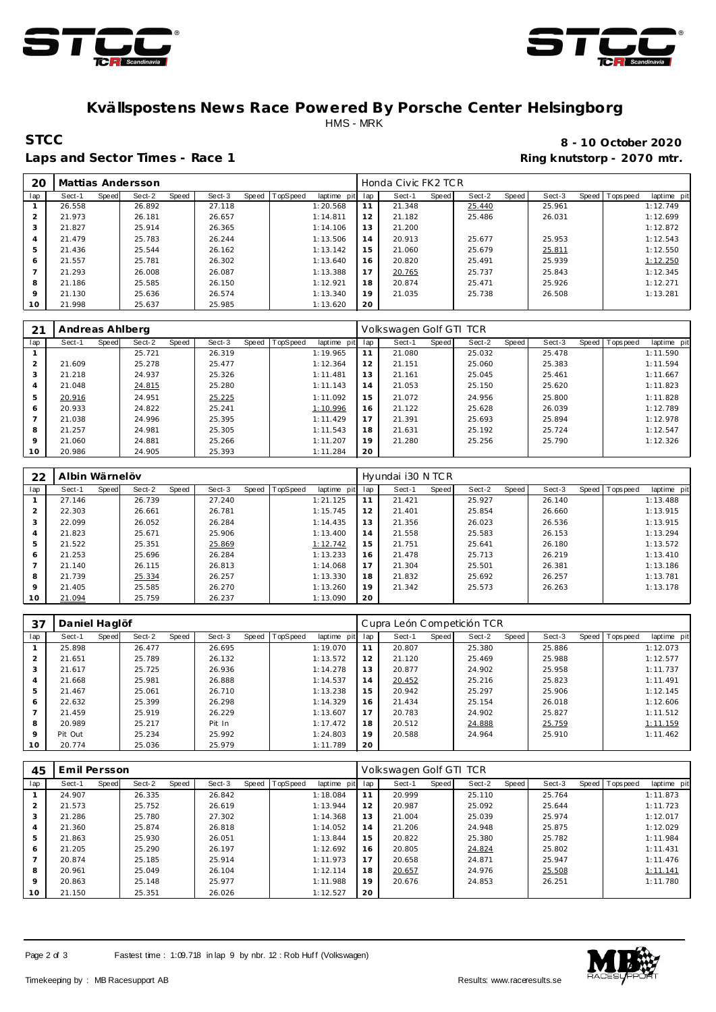



## **Kvällspostens News Race Powered By Porsche Center Helsingborg** HMS - MRK

Laps and Sector Times - Race 1 **Ring and Sector Times - Ring knutstorp** - 2070 mtr.

**STCC 8 - 10 October 2020**

| 20  |        |       | Mattias Andersson |       |        |                |             |     | Honda Civic FK2 TCR |       |        |       |        |                |             |
|-----|--------|-------|-------------------|-------|--------|----------------|-------------|-----|---------------------|-------|--------|-------|--------|----------------|-------------|
| lap | Sect-1 | Speed | Sect-2            | Speed | Sect-3 | Speed TopSpeed | laptime pit | lap | Sect-1              | Speed | Sect-2 | Speed | Sect-3 | Speed Topspeed | laptime pit |
|     | 26.558 |       | 26.892            |       | 27.118 |                | 1:20.568    | 11  | 21.348              |       | 25.440 |       | 25.961 |                | 1:12.749    |
|     | 21.973 |       | 26.181            |       | 26.657 |                | 1:14.811    | 12  | 21.182              |       | 25.486 |       | 26.031 |                | 1:12.699    |
| 3   | 21.827 |       | 25.914            |       | 26.365 |                | 1:14.106    | 13  | 21.200              |       |        |       |        |                | 1:12.872    |
| 4   | 21.479 |       | 25.783            |       | 26.244 |                | 1:13.506    | 14  | 20.913              |       | 25.677 |       | 25.953 |                | 1:12.543    |
| 5   | 21.436 |       | 25.544            |       | 26.162 |                | 1:13.142    | 15  | 21.060              |       | 25.679 |       | 25.811 |                | 1:12.550    |
| 6   | 21.557 |       | 25.781            |       | 26.302 |                | 1:13.640    | 16  | 20.820              |       | 25.491 |       | 25.939 |                | 1:12.250    |
|     | 21.293 |       | 26.008            |       | 26.087 |                | 1:13.388    | 17  | 20.765              |       | 25.737 |       | 25.843 |                | 1:12.345    |
| 8   | 21.186 |       | 25.585            |       | 26.150 |                | 1:12.921    | 18  | 20.874              |       | 25.471 |       | 25.926 |                | 1:12.271    |
| 9   | 21.130 |       | 25.636            |       | 26.574 |                | 1:13.340    | 19  | 21.035              |       | 25.738 |       | 26.508 |                | 1:13.281    |
| 10  | 21.998 |       | 25.637            |       | 25.985 |                | 1:13.620    | 20  |                     |       |        |       |        |                |             |

| 21             | Andreas Ahlberg |       |        |       |        |                |             |     | Volkswagen Golf GTI TCR |       |        |       |        |                |             |
|----------------|-----------------|-------|--------|-------|--------|----------------|-------------|-----|-------------------------|-------|--------|-------|--------|----------------|-------------|
| lap            | Sect-1          | Speed | Sect-2 | Speed | Sect-3 | Speed TopSpeed | laptime pit | lap | Sect-1                  | Speed | Sect-2 | Speed | Sect-3 | Speed Topspeed | laptime pit |
|                |                 |       | 25.721 |       | 26.319 |                | 1:19.965    | 11  | 21.080                  |       | 25.032 |       | 25.478 |                | 1:11.590    |
| $\overline{2}$ | 21.609          |       | 25.278 |       | 25.477 |                | 1:12.364    | 12  | 21.151                  |       | 25.060 |       | 25.383 |                | 1:11.594    |
| 3              | 21.218          |       | 24.937 |       | 25.326 |                | 1:11.481    | 13  | 21.161                  |       | 25.045 |       | 25.461 |                | 1:11.667    |
| $\overline{4}$ | 21.048          |       | 24.815 |       | 25.280 |                | 1:11.143    | 14  | 21.053                  |       | 25.150 |       | 25.620 |                | 1:11.823    |
| 5              | 20.916          |       | 24.951 |       | 25.225 |                | 1:11.092    | 15  | 21.072                  |       | 24.956 |       | 25,800 |                | 1:11.828    |
| 6              | 20.933          |       | 24.822 |       | 25.241 |                | 1:10.996    | 16  | 21.122                  |       | 25.628 |       | 26.039 |                | 1:12.789    |
|                | 21.038          |       | 24.996 |       | 25.395 |                | 1:11.429    | 17  | 21.391                  |       | 25.693 |       | 25.894 |                | 1:12.978    |
| 8              | 21.257          |       | 24.981 |       | 25.305 |                | 1:11.543    | 18  | 21.631                  |       | 25.192 |       | 25.724 |                | 1:12.547    |
| $\circ$        | 21.060          |       | 24.881 |       | 25.266 |                | 1:11.207    | 19  | 21.280                  |       | 25.256 |       | 25.790 |                | 1:12.326    |
| 10             | 20.986          |       | 24.905 |       | 25.393 |                | 1:11.284    | 20  |                         |       |        |       |        |                |             |

| 22             | Albin Wärnelöv |       |        |       |        |       |          |             |     | Hyundai i30 N TCR |       |        |       |        |                |             |
|----------------|----------------|-------|--------|-------|--------|-------|----------|-------------|-----|-------------------|-------|--------|-------|--------|----------------|-------------|
| lap            | Sect-1         | Speed | Sect-2 | Speed | Sect-3 | Speed | TopSpeed | laptime pit | lap | Sect-1            | Speed | Sect-2 | Speed | Sect-3 | Speed Topspeed | laptime pit |
|                | 27.146         |       | 26.739 |       | 27.240 |       |          | 1:21.125    | 11  | 21.421            |       | 25.927 |       | 26.140 |                | 1:13.488    |
| $\overline{2}$ | 22.303         |       | 26.661 |       | 26.781 |       |          | 1:15.745    | 12  | 21.401            |       | 25.854 |       | 26.660 |                | 1:13.915    |
| 3              | 22.099         |       | 26.052 |       | 26.284 |       |          | 1:14.435    | 13  | 21.356            |       | 26.023 |       | 26.536 |                | 1:13.915    |
| $\overline{4}$ | 21.823         |       | 25.671 |       | 25.906 |       |          | 1:13.400    | 14  | 21.558            |       | 25.583 |       | 26.153 |                | 1:13.294    |
| 5              | 21.522         |       | 25.351 |       | 25.869 |       |          | 1:12.742    | 15  | 21.751            |       | 25.641 |       | 26.180 |                | 1:13.572    |
| 6              | 21.253         |       | 25.696 |       | 26.284 |       |          | 1:13.233    | 16  | 21.478            |       | 25.713 |       | 26.219 |                | 1:13.410    |
|                | 21.140         |       | 26.115 |       | 26.813 |       |          | 1:14.068    | 17  | 21.304            |       | 25.501 |       | 26.381 |                | 1:13.186    |
| 8              | 21.739         |       | 25.334 |       | 26.257 |       |          | 1:13.330    | 18  | 21.832            |       | 25.692 |       | 26.257 |                | 1:13.781    |
| $\mathsf Q$    | 21.405         |       | 25.585 |       | 26.270 |       |          | 1:13.260    | 19  | 21.342            |       | 25.573 |       | 26.263 |                | 1:13.178    |
| 10             | 21.094         |       | 25.759 |       | 26.237 |       |          | 1:13.090    | 20  |                   |       |        |       |        |                |             |

| 37             | Daniel Haglöf   |        |                 |       |          |             |     | Cupra León Competición TCR |       |        |       |        |                   |             |
|----------------|-----------------|--------|-----------------|-------|----------|-------------|-----|----------------------------|-------|--------|-------|--------|-------------------|-------------|
| lap            | Sect-1<br>Speed | Sect-2 | Sect-3<br>Speed | Speed | TopSpeed | laptime pit | lap | Sect-1                     | Speed | Sect-2 | Speed | Sect-3 | Speed   Tops peed | laptime pit |
|                | 25.898          | 26.477 | 26.695          |       |          | 1:19.070    | 11  | 20.807                     |       | 25.380 |       | 25.886 |                   | 1:12.073    |
| 2              | 21.651          | 25.789 | 26.132          |       |          | 1:13.572    | 12  | 21.120                     |       | 25.469 |       | 25.988 |                   | 1:12.577    |
| 3              | 21.617          | 25.725 | 26.936          |       |          | 1:14.278    | 13  | 20.877                     |       | 24.902 |       | 25.958 |                   | 1:11.737    |
| 4              | 21.668          | 25.981 | 26.888          |       |          | 1:14.537    | 14  | 20.452                     |       | 25.216 |       | 25.823 |                   | 1:11.491    |
| 5              | 21.467          | 25.061 | 26.710          |       |          | 1:13.238    | 15  | 20.942                     |       | 25.297 |       | 25.906 |                   | 1:12.145    |
| 6              | 22.632          | 25.399 | 26.298          |       |          | 1:14.329    | 16  | 21.434                     |       | 25.154 |       | 26.018 |                   | 1:12.606    |
| $\overline{ }$ | 21.459          | 25.919 | 26.229          |       |          | 1:13.607    | 17  | 20.783                     |       | 24.902 |       | 25.827 |                   | 1:11.512    |
| 8              | 20.989          | 25.217 | Pit In          |       |          | 1:17.472    | 18  | 20.512                     |       | 24.888 |       | 25.759 |                   | 1:11.159    |
| $\mathsf Q$    | Pit Out         | 25.234 | 25.992          |       |          | 1:24.803    | 19  | 20.588                     |       | 24.964 |       | 25.910 |                   | 1:11.462    |
| 10             | 20.774          | 25.036 | 25.979          |       |          | 1:11.789    | 20  |                            |       |        |       |        |                   |             |

| 45  | Emil Persson |       |        |       |        |       |          |             |     | Volkswagen Golf GTI TCR |       |        |       |        |                |             |
|-----|--------------|-------|--------|-------|--------|-------|----------|-------------|-----|-------------------------|-------|--------|-------|--------|----------------|-------------|
| lap | Sect-1       | Speed | Sect-2 | Speed | Sect-3 | Speed | TopSpeed | laptime pit | lap | Sect-1                  | Speed | Sect-2 | Speed | Sect-3 | Speed Topspeed | laptime pit |
|     | 24.907       |       | 26.335 |       | 26.842 |       |          | 1:18.084    | 11  | 20.999                  |       | 25.110 |       | 25.764 |                | 1:11.873    |
|     | 21.573       |       | 25.752 |       | 26.619 |       |          | 1:13.944    | 12  | 20.987                  |       | 25.092 |       | 25.644 |                | 1:11.723    |
| 3   | 21.286       |       | 25.780 |       | 27.302 |       |          | 1:14.368    | 13  | 21.004                  |       | 25.039 |       | 25.974 |                | 1:12.017    |
| 4   | 21.360       |       | 25.874 |       | 26.818 |       |          | 1:14.052    | 14  | 21.206                  |       | 24.948 |       | 25.875 |                | 1:12.029    |
| 5   | 21.863       |       | 25.930 |       | 26.051 |       |          | 1:13.844    | 15  | 20.822                  |       | 25.380 |       | 25.782 |                | 1:11.984    |
| 6   | 21.205       |       | 25.290 |       | 26.197 |       |          | 1:12.692    | 16  | 20.805                  |       | 24.824 |       | 25.802 |                | 1:11.431    |
|     | 20.874       |       | 25.185 |       | 25.914 |       |          | 1:11.973    | 17  | 20.658                  |       | 24.871 |       | 25.947 |                | 1:11.476    |
| 8   | 20.961       |       | 25.049 |       | 26.104 |       |          | 1:12.114    | 18  | 20.657                  |       | 24.976 |       | 25.508 |                | 1:11.141    |
| 9   | 20.863       |       | 25.148 |       | 25.977 |       |          | 1:11.988    | 19  | 20.676                  |       | 24.853 |       | 26.251 |                | 1:11.780    |
| 10  | 21.150       |       | 25.351 |       | 26.026 |       |          | 1:12.527    | 20  |                         |       |        |       |        |                |             |